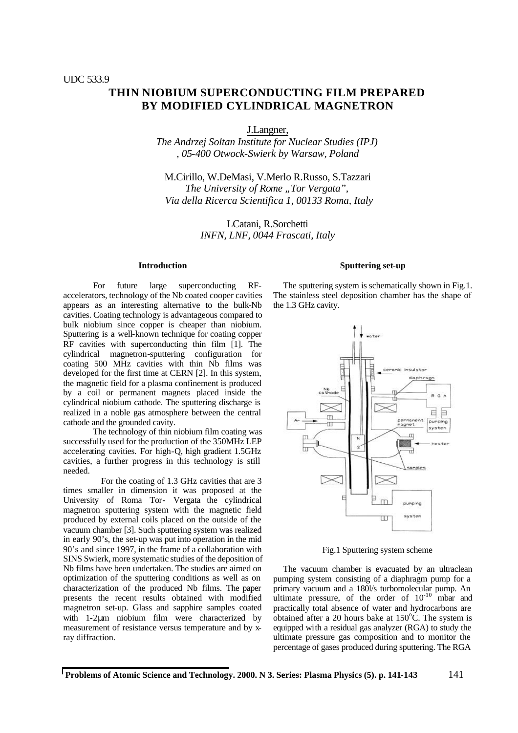# **THIN NIOBIUM SUPERCONDUCTING FILM PREPARED BY MODIFIED CYLINDRICAL MAGNETRON**

J.Langner,

*The Andrzej Soltan Institute for Nuclear Studies (IPJ) , 05-400 Otwock-Swierk by Warsaw, Poland*

M.Cirillo, W.DeMasi, V.Merlo R.Russo, S.Tazzari *The University of Rome "Tor Vergata", Via della Ricerca Scientifica 1, 00133 Roma, Italy*

> LCatani, R.Sorchetti *INFN, LNF, 0044 Frascati, Italy*

#### **Introduction**

For future large superconducting RFaccelerators, technology of the Nb coated cooper cavities appears as an interesting alternative to the bulk-Nb cavities. Coating technology is advantageous compared to bulk niobium since copper is cheaper than niobium. Sputtering is a well-known technique for coating copper RF cavities with superconducting thin film [1]. The cylindrical magnetron-sputtering configuration for coating 500 MHz cavities with thin Nb films was developed for the first time at CERN [2]. In this system, the magnetic field for a plasma confinement is produced by a coil or permanent magnets placed inside the cylindrical niobium cathode. The sputtering discharge is realized in a noble gas atmosphere between the central cathode and the grounded cavity.

The technology of thin niobium film coating was successfully used for the production of the 350MHz LEP accelerating cavities. For high-Q, high gradient 1.5GHz cavities, a further progress in this technology is still needed.

 For the coating of 1.3 GHz cavities that are 3 times smaller in dimension it was proposed at the University of Roma Tor- Vergata the cylindrical magnetron sputtering system with the magnetic field produced by external coils placed on the outside of the vacuum chamber [3]. Such sputtering system was realized in early 90's, the set-up was put into operation in the mid 90's and since 1997, in the frame of a collaboration with SINS Swierk, more systematic studies of the deposition of Nb films have been undertaken. The studies are aimed on optimization of the sputtering conditions as well as on characterization of the produced Nb films. The paper presents the recent results obtained with modified magnetron set-up. Glass and sapphire samples coated with 1-2μm niobium film were characterized by measurement of resistance versus temperature and by xray diffraction.

## **Sputtering set-up**

The sputtering system is schematically shown in Fig.1. The stainless steel deposition chamber has the shape of the 1.3 GHz cavity.



Fig.1 Sputtering system scheme

The vacuum chamber is evacuated by an ultraclean pumping system consisting of a diaphragm pump for a primary vacuum and a 180l/s turbomolecular pump. An ultimate pressure, of the order of  $10^{-10}$  mbar and practically total absence of water and hydrocarbons are obtained after a 20 hours bake at  $150^{\circ}$ C. The system is equipped with a residual gas analyzer (RGA) to study the ultimate pressure gas composition and to monitor the percentage of gases produced during sputtering. The RGA

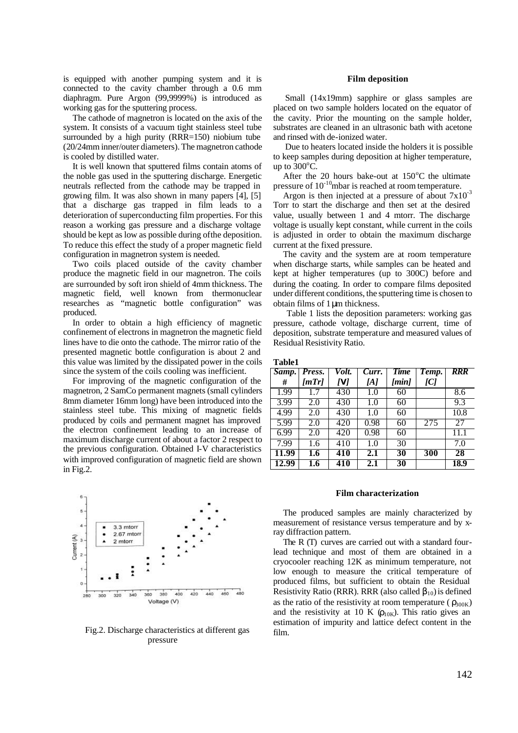is equipped with another pumping system and it is connected to the cavity chamber through a 0.6 mm diaphragm. Pure Argon (99,9999%) is introduced as working gas for the sputtering process.

The cathode of magnetron is located on the axis of the system. It consists of a vacuum tight stainless steel tube surrounded by a high purity (RRR=150) niobium tube (20/24mm inner/outer diameters). The magnetron cathode is cooled by distilled water.

It is well known that sputtered films contain atoms of the noble gas used in the sputtering discharge. Energetic neutrals reflected from the cathode may be trapped in growing film. It was also shown in many papers [4], [5] that a discharge gas trapped in film leads to a deterioration of superconducting film properties. For this reason a working gas pressure and a discharge voltage should be kept as low as possible during of the deposition. To reduce this effect the study of a proper magnetic field configuration in magnetron system is needed.

Two coils placed outside of the cavity chamber produce the magnetic field in our magnetron. The coils are surrounded by soft iron shield of 4mm thickness. The magnetic field, well known from thermonuclear researches as "magnetic bottle configuration" was produced.

In order to obtain a high efficiency of magnetic confinement of electrons in magnetron the magnetic field lines have to die onto the cathode. The mirror ratio of the presented magnetic bottle configuration is about 2 and this value was limited by the dissipated power in the coils since the system of the coils cooling was inefficient.

For improving of the magnetic configuration of the magnetron, 2 SamCo permanent magnets (small cylinders 8mm diameter 16mm long) have been introduced into the stainless steel tube. This mixing of magnetic fields produced by coils and permanent magnet has improved the electron confinement leading to an increase of maximum discharge current of about a factor 2 respect to the previous configuration. Obtained I-V characteristics with improved configuration of magnetic field are shown in Fig.2.



Fig.2. Discharge characteristics at different gas pressure

### **Film deposition**

 Small (14x19mm) sapphire or glass samples are placed on two sample holders located on the equator of the cavity. Prior the mounting on the sample holder, substrates are cleaned in an ultrasonic bath with acetone and rinsed with de-ionized water.

 Due to heaters located inside the holders it is possible to keep samples during deposition at higher temperature, up to  $300^{\circ}$ C.

After the 20 hours bake-out at  $150^{\circ}$ C the ultimate pressure of  $10^{-10}$ mbar is reached at room temperature.

Argon is then injected at a pressure of about  $7x10^{-3}$ Torr to start the discharge and then set at the desired value, usually between 1 and 4 mtorr. The discharge voltage is usually kept constant, while current in the coils is adjusted in order to obtain the maximum discharge current at the fixed pressure.

The cavity and the system are at room temperature when discharge starts, while samples can be heated and kept at higher temperatures (up to 300C) before and during the coating. In order to compare films deposited under different conditions, the sputtering time is chosen to obtain films of 1μm thickness.

 Table 1 lists the deposition parameters: working gas pressure, cathode voltage, discharge current, time of deposition, substrate temperature and measured values of Residual Resistivity Ratio.

#### **Table1**

| Samp. | Press. | Volt. | $Curr$ . | <b>Time</b> | Temp. | RRR  |
|-------|--------|-------|----------|-------------|-------|------|
| #     | [mTr]  | [V]   | [A]      | [min]       | [C]   |      |
| 1.99  | 1.7    | 430   | 1.0      | 60          |       | 8.6  |
| 3.99  | 2.0    | 430   | 1.0      | 60          |       | 9.3  |
| 4.99  | 2.0    | 430   | 1.0      | 60          |       | 10.8 |
| 5.99  | 2.0    | 420   | 0.98     | 60          | 275   | 27   |
| 6.99  | 2.0    | 420   | 0.98     | 60          |       | 11.1 |
| 7.99  | 1.6    | 410   | 1.0      | 30          |       | 7.0  |
| 11.99 | 1.6    | 410   | 2.1      | 30          | 300   | 28   |
| 12.99 | 1.6    | 410   | 2.1      | 30          |       | 18.9 |

#### **Film characterization**

The produced samples are mainly characterized by measurement of resistance versus temperature and by xray diffraction pattern.

The R (T) curves are carried out with a standard fourlead technique and most of them are obtained in a cryocooler reaching 12K as minimum temperature, not low enough to measure the critical temperature of produced films, but sufficient to obtain the Residual Resistivity Ratio (RRR). RRR (also called  $\beta_{10}$ ) is defined as the ratio of the resistivity at room temperature ( $\rho_{300K}$ ) and the resistivity at 10 K  $(\rho_{10K})$ . This ratio gives an estimation of impurity and lattice defect content in the film.